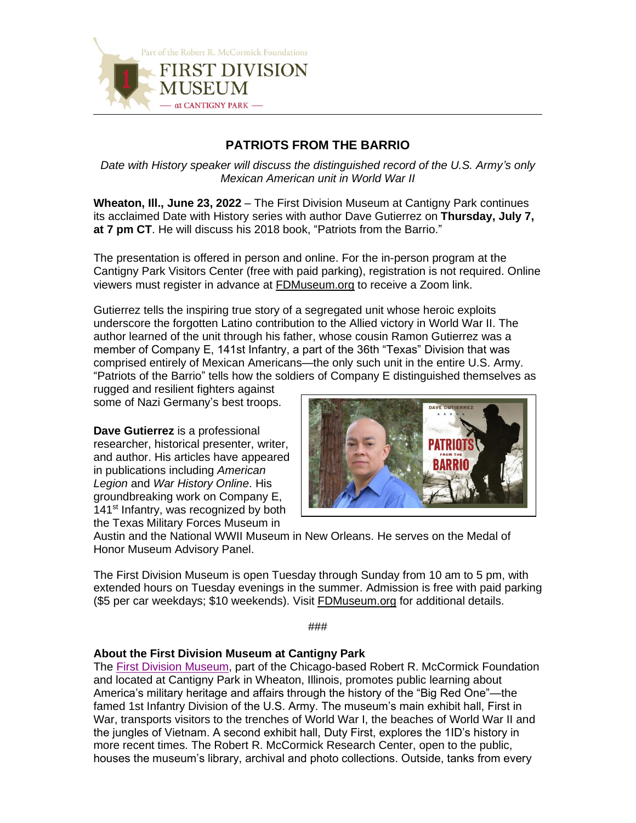

## **PATRIOTS FROM THE BARRIO**

*Date with History speaker will discuss the distinguished record of the U.S. Army's only Mexican American unit in World War II*

**Wheaton, Ill., June 23, 2022** – The First Division Museum at Cantigny Park continues its acclaimed Date with History series with author Dave Gutierrez on **Thursday, July 7, at 7 pm CT**. He will discuss his 2018 book, "Patriots from the Barrio."

The presentation is offered in person and online. For the in-person program at the Cantigny Park Visitors Center (free with paid parking), registration is not required. Online viewers must register in advance at [FDMuseum.org](https://www.fdmuseum.org/event/date-with-history-tank-support-on-omaha-beach/) to receive a Zoom link.

Gutierrez tells the inspiring true story of a segregated unit whose heroic exploits underscore the forgotten Latino contribution to the Allied victory in World War II. The author learned of the unit through his father, whose cousin Ramon Gutierrez was a member of Company E, 141st Infantry, a part of the 36th "Texas" Division that was comprised entirely of Mexican Americans—the only such unit in the entire U.S. Army. "Patriots of the Barrio" tells how the soldiers of Company E distinguished themselves as

rugged and resilient fighters against some of Nazi Germany's best troops.

**Dave Gutierrez** is a professional researcher, historical presenter, writer, and author. His articles have appeared in publications including *American Legion* and *War History Online*. His groundbreaking work on Company E, 141<sup>st</sup> Infantry, was recognized by both the Texas Military Forces Museum in



Austin and the National WWII Museum in New Orleans. He serves on the Medal of Honor Museum Advisory Panel.

The First Division Museum is open Tuesday through Sunday from 10 am to 5 pm, with extended hours on Tuesday evenings in the summer. Admission is free with paid parking (\$5 per car weekdays; \$10 weekends). Visit [FDMuseum.org](http://www.fdmuseum.org/) for additional details.

###

## **About the First Division Museum at Cantigny Park**

The [First Division Museum,](http://www.fdmuseum.org/) part of the Chicago-based Robert R. McCormick Foundation and located at Cantigny Park in Wheaton, Illinois, promotes public learning about America's military heritage and affairs through the history of the "Big Red One"—the famed 1st Infantry Division of the U.S. Army. The museum's main exhibit hall, First in War, transports visitors to the trenches of World War I, the beaches of World War II and the jungles of Vietnam. A second exhibit hall, Duty First, explores the 1ID's history in more recent times. The Robert R. McCormick Research Center, open to the public, houses the museum's library, archival and photo collections. Outside, tanks from every